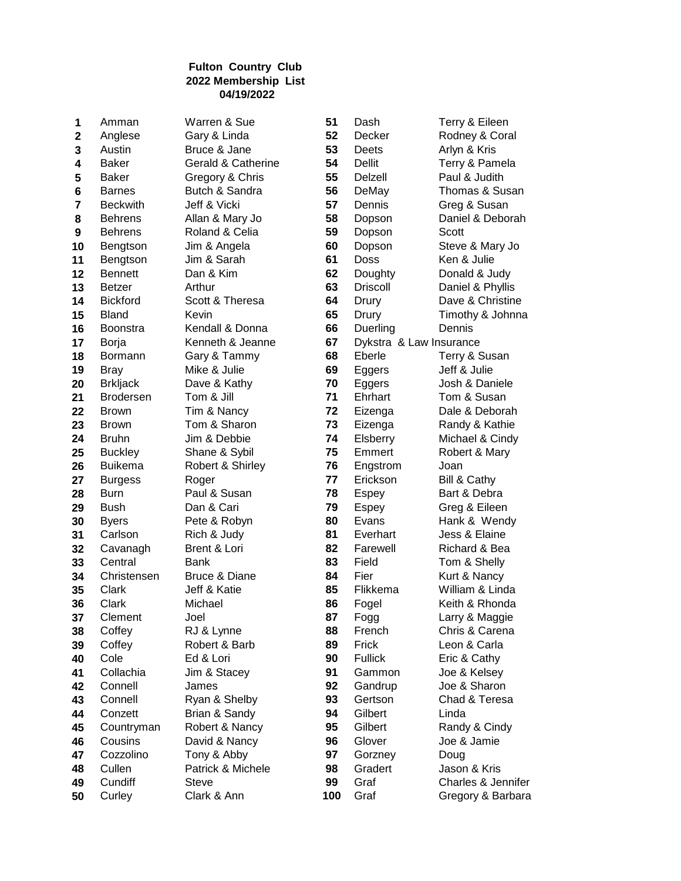| 1           | Amman            | Warren & Sue       | 51  | Dash                    | Terry & Eileen     |
|-------------|------------------|--------------------|-----|-------------------------|--------------------|
| $\mathbf 2$ | Anglese          | Gary & Linda       | 52  | Decker                  | Rodney & Coral     |
| 3           | Austin           | Bruce & Jane       | 53  | Deets                   | Arlyn & Kris       |
| 4           | <b>Baker</b>     | Gerald & Catherine | 54  | <b>Dellit</b>           | Terry & Pamela     |
| 5           | <b>Baker</b>     | Gregory & Chris    | 55  | Delzell                 | Paul & Judith      |
| 6           | <b>Barnes</b>    | Butch & Sandra     | 56  | DeMay                   | Thomas & Susan     |
| 7           | <b>Beckwith</b>  | Jeff & Vicki       | 57  | Dennis                  | Greg & Susan       |
| 8           | <b>Behrens</b>   | Allan & Mary Jo    | 58  | Dopson                  | Daniel & Deborah   |
| 9           | <b>Behrens</b>   | Roland & Celia     | 59  | Dopson                  | Scott              |
| 10          | Bengtson         | Jim & Angela       | 60  | Dopson                  | Steve & Mary Jo    |
| 11          | Bengtson         | Jim & Sarah        | 61  | <b>Doss</b>             | Ken & Julie        |
| 12          | <b>Bennett</b>   | Dan & Kim          | 62  | Doughty                 | Donald & Judy      |
| 13          | <b>Betzer</b>    | Arthur             | 63  | <b>Driscoll</b>         | Daniel & Phyllis   |
| 14          | <b>Bickford</b>  | Scott & Theresa    | 64  | Drury                   | Dave & Christine   |
| 15          | <b>Bland</b>     | Kevin              | 65  | Drury                   | Timothy & Johnna   |
| 16          | <b>Boonstra</b>  | Kendall & Donna    | 66  |                         | Dennis             |
|             |                  |                    |     | Duerling                |                    |
| 17          | Borja            | Kenneth & Jeanne   | 67  | Dykstra & Law Insurance |                    |
| 18          | Bormann          | Gary & Tammy       | 68  | Eberle                  | Terry & Susan      |
| 19          | <b>Bray</b>      | Mike & Julie       | 69  | Eggers                  | Jeff & Julie       |
| 20          | <b>Brkljack</b>  | Dave & Kathy       | 70  | Eggers                  | Josh & Daniele     |
| 21          | <b>Brodersen</b> | Tom & Jill         | 71  | Ehrhart                 | Tom & Susan        |
| 22          | <b>Brown</b>     | Tim & Nancy        | 72  | Eizenga                 | Dale & Deborah     |
| 23          | <b>Brown</b>     | Tom & Sharon       | 73  | Eizenga                 | Randy & Kathie     |
| 24          | <b>Bruhn</b>     | Jim & Debbie       | 74  | Elsberry                | Michael & Cindy    |
| 25          | <b>Buckley</b>   | Shane & Sybil      | 75  | Emmert                  | Robert & Mary      |
| 26          | <b>Buikema</b>   | Robert & Shirley   | 76  | Engstrom                | Joan               |
| 27          | <b>Burgess</b>   | Roger              | 77  | Erickson                | Bill & Cathy       |
| 28          | <b>Burn</b>      | Paul & Susan       | 78  | <b>Espey</b>            | Bart & Debra       |
| 29          | <b>Bush</b>      | Dan & Cari         | 79  | Espey                   | Greg & Eileen      |
| 30          | <b>Byers</b>     | Pete & Robyn       | 80  | Evans                   | Hank & Wendy       |
| 31          | Carlson          | Rich & Judy        | 81  | Everhart                | Jess & Elaine      |
| 32          | Cavanagh         | Brent & Lori       | 82  | Farewell                | Richard & Bea      |
| 33          | Central          | <b>Bank</b>        | 83  | Field                   | Tom & Shelly       |
| 34          | Christensen      | Bruce & Diane      | 84  | Fier                    | Kurt & Nancy       |
| 35          | Clark            | Jeff & Katie       | 85  | Flikkema                | William & Linda    |
| 36          | Clark            | Michael            | 86  | Fogel                   | Keith & Rhonda     |
| 37          | Clement          | Joel               | 87  | Fogg                    | Larry & Maggie     |
| 38          | Coffey           | RJ & Lynne         | 88  | French                  | Chris & Carena     |
| 39          | Coffey           | Robert & Barb      | 89  | Frick                   | Leon & Carla       |
| 40          | Cole             | Ed & Lori          | 90  | <b>Fullick</b>          | Eric & Cathy       |
| 41          | Collachia        | Jim & Stacey       | 91  | Gammon                  | Joe & Kelsey       |
|             | Connell          | James              |     |                         | Joe & Sharon       |
| 42          |                  |                    | 92  | Gandrup                 |                    |
| 43          | Connell          | Ryan & Shelby      | 93  | Gertson                 | Chad & Teresa      |
| 44          | Conzett          | Brian & Sandy      | 94  | Gilbert                 | Linda              |
| 45          | Countryman       | Robert & Nancy     | 95  | Gilbert                 | Randy & Cindy      |
| 46          | Cousins          | David & Nancy      | 96  | Glover                  | Joe & Jamie        |
| 47          | Cozzolino        | Tony & Abby        | 97  | Gorzney                 | Doug               |
| 48          | Cullen           | Patrick & Michele  | 98  | Gradert                 | Jason & Kris       |
| 49          | Cundiff          | <b>Steve</b>       | 99  | Graf                    | Charles & Jennifer |
| 50          | Curley           | Clark & Ann        | 100 | Graf                    | Gregory & Barbara  |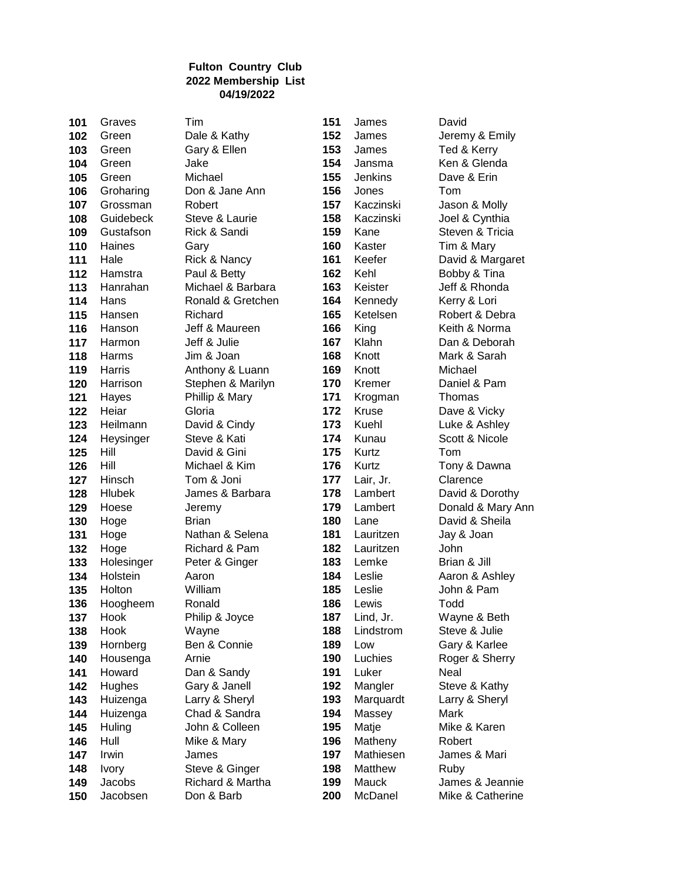| 101        | Graves           | Tim                     | 151        | James                  | David                         |
|------------|------------------|-------------------------|------------|------------------------|-------------------------------|
| 102        | Green            | Dale & Kathy            | 152        | James                  | Jeremy & Emily                |
| 103        | Green            | Gary & Ellen            | 153        | James                  | Ted & Kerry                   |
| 104        | Green            | Jake                    | 154        | Jansma                 | Ken & Glenda                  |
| 105        | Green            | Michael                 | 155        | Jenkins                | Dave & Erin                   |
| 106        | Groharing        | Don & Jane Ann          | 156        | Jones                  | Tom                           |
| 107        | Grossman         | Robert                  | 157        | Kaczinski              | Jason & Molly                 |
| 108        | Guidebeck        | Steve & Laurie          | 158        | Kaczinski              | Joel & Cynthia                |
| 109        | Gustafson        | Rick & Sandi            | 159        | Kane                   | Steven & Tricia               |
| 110        | Haines           | Gary                    | 160        | Kaster                 | Tim & Mary                    |
| 111        | Hale             | Rick & Nancy            | 161        | Keefer                 | David & Margaret              |
| 112        | Hamstra          | Paul & Betty            | 162        | Kehl                   | Bobby & Tina                  |
| 113        | Hanrahan         | Michael & Barbara       | 163        | Keister                | Jeff & Rhonda                 |
| 114        | Hans             | Ronald & Gretchen       | 164        | Kennedy                | Kerry & Lori                  |
| 115        | Hansen           | Richard                 | 165        | Ketelsen               | Robert & Debra                |
| 116        | Hanson           | Jeff & Maureen          | 166        | King                   | Keith & Norma                 |
| 117        | Harmon           | Jeff & Julie            | 167        | Klahn                  | Dan & Deborah                 |
| 118        | Harms            | Jim & Joan              | 168        | Knott                  | Mark & Sarah                  |
| 119        | Harris           | Anthony & Luann         | 169        | Knott                  | Michael                       |
| 120        | Harrison         | Stephen & Marilyn       | 170        | Kremer                 | Daniel & Pam                  |
| 121        | Hayes            | Phillip & Mary          | 171        | Krogman                | Thomas                        |
| 122        | Heiar            | Gloria                  | 172        | Kruse                  | Dave & Vicky                  |
| 123        | Heilmann         | David & Cindy           | 173        | Kuehl                  | Luke & Ashley                 |
| 124        | Heysinger        | Steve & Kati            | 174        | Kunau                  | Scott & Nicole                |
| 125        | Hill             | David & Gini            | 175        | Kurtz                  | Tom                           |
| 126        | Hill             | Michael & Kim           | 176        | Kurtz                  | Tony & Dawna                  |
| 127        | Hinsch           | Tom & Joni              | 177        | Lair, Jr.              | Clarence                      |
| 128        | <b>Hlubek</b>    | James & Barbara         | 178        | Lambert                | David & Dorothy               |
| 129        | Hoese            | Jeremy                  | 179        | Lambert                | Donald & Mary Ann             |
| 130        | Hoge             | <b>Brian</b>            | 180        | Lane                   | David & Sheila                |
| 131        | Hoge             | Nathan & Selena         | 181        | Lauritzen              | Jay & Joan                    |
| 132        | Hoge             | Richard & Pam           | 182        | Lauritzen              | John                          |
| 133        | Holesinger       | Peter & Ginger          | 183        | Lemke                  | Brian & Jill                  |
| 134        | Holstein         | Aaron                   | 184        | Leslie                 | Aaron & Ashley                |
| 135<br>136 | Holton           | William                 | 185<br>186 | Leslie                 | John & Pam<br>Todd            |
|            | Hoogheem<br>Hook | Ronald                  | 187        | Lewis                  |                               |
| 137<br>138 | Hook             | Philip & Joyce<br>Wayne | 188        | Lind, Jr.<br>Lindstrom | Wayne & Beth<br>Steve & Julie |
| 139        | Hornberg         | Ben & Connie            | 189        | Low                    | Gary & Karlee                 |
| 140        | Housenga         | Arnie                   | 190        | Luchies                | Roger & Sherry                |
| 141        | Howard           | Dan & Sandy             | 191        | Luker                  | Neal                          |
| 142        | Hughes           | Gary & Janell           | 192        | Mangler                | Steve & Kathy                 |
| 143        | Huizenga         | Larry & Sheryl          | 193        | Marquardt              | Larry & Sheryl                |
| 144        | Huizenga         | Chad & Sandra           | 194        | Massey                 | Mark                          |
| 145        | Huling           | John & Colleen          | 195        | Matje                  | Mike & Karen                  |
| 146        | Hull             | Mike & Mary             | 196        | Matheny                | Robert                        |
| 147        | Irwin            | James                   | 197        | Mathiesen              | James & Mari                  |
| 148        | <b>Ivory</b>     | Steve & Ginger          | 198        | Matthew                | Ruby                          |
| 149        | Jacobs           | Richard & Martha        | 199        | Mauck                  | James & Jeannie               |
| 150        | Jacobsen         | Don & Barb              | 200        | McDanel                | Mike & Catherine              |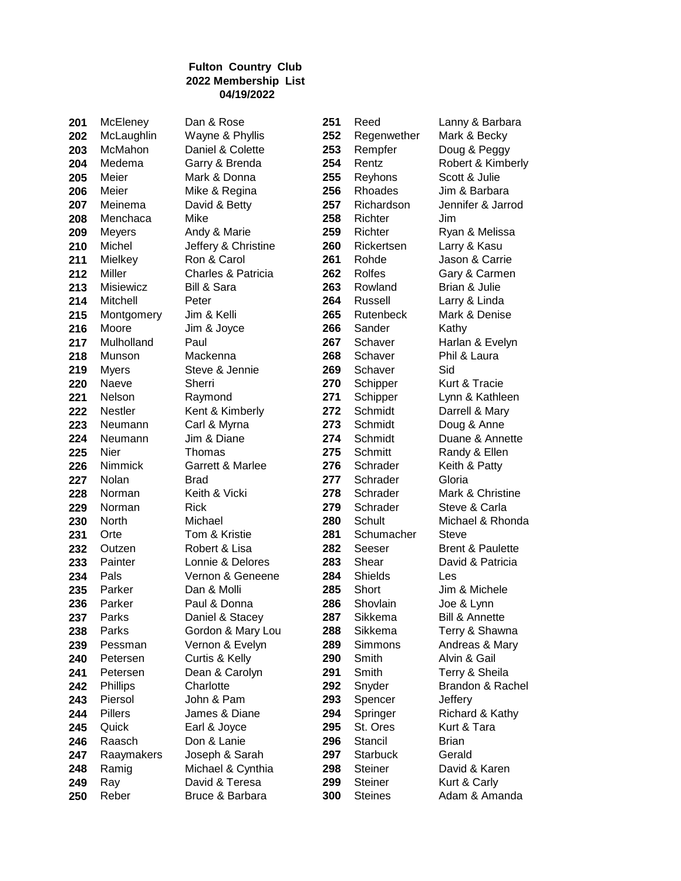| 201 | McLleney       | Dan & Rose          | 251 | Reed            | ≀ Lanny       |
|-----|----------------|---------------------|-----|-----------------|---------------|
| 202 | McLaughlin     | Wayne & Phyllis     | 252 | Regenwether     | Mark &        |
| 203 | McMahon        | Daniel & Colette    | 253 | Rempfer         | Doug &        |
| 204 | Medema         | Garry & Brenda      | 254 | Rentz           | Robert        |
| 205 | Meier          | Mark & Donna        | 255 | Reyhons         | Scott &       |
| 206 | Meier          | Mike & Regina       | 256 | Rhoades         | Jim & E       |
| 207 | Meinema        | David & Betty       | 257 | Richardson      | Jennife       |
| 208 | Menchaca       | Mike                | 258 | Richter         | Jim           |
| 209 | Meyers         | Andy & Marie        | 259 | Richter         | Ryan &        |
| 210 | Michel         | Jeffery & Christine | 260 | Rickertsen      | Larry &       |
| 211 | Mielkey        | Ron & Carol         | 261 | Rohde           | Jason &       |
| 212 | Miller         | Charles & Patricia  | 262 | <b>Rolfes</b>   | Gary &        |
| 213 | Misiewicz      | Bill & Sara         | 263 | Rowland         | Brian &       |
| 214 | Mitchell       | Peter               | 264 | Russell         | Larry &       |
| 215 | Montgomery     | Jim & Kelli         | 265 | Rutenbeck       | Mark &        |
| 216 | Moore          | Jim & Joyce         | 266 | Sander          | Kathy         |
| 217 | Mulholland     | Paul                | 267 | Schaver         | Harlan        |
| 218 | Munson         | Mackenna            | 268 | Schaver         | Phil & L      |
| 219 | <b>Myers</b>   | Steve & Jennie      | 269 | Schaver         | Sid           |
| 220 | Naeve          | Sherri              | 270 | Schipper        | Kurt &        |
| 221 | Nelson         | Raymond             | 271 | Schipper        | Lynn &        |
| 222 | <b>Nestler</b> | Kent & Kimberly     | 272 | Schmidt         | Darrell       |
| 223 | Neumann        | Carl & Myrna        | 273 | Schmidt         | Doug &        |
| 224 | Neumann        | Jim & Diane         | 274 | Schmidt         | Duane         |
| 225 | Nier           | Thomas              | 275 | Schmitt         | Randy         |
| 226 | Nimmick        | Garrett & Marlee    | 276 | Schrader        | Keith &       |
| 227 | Nolan          | <b>Brad</b>         | 277 | Schrader        | Gloria        |
| 228 | Norman         | Keith & Vicki       | 278 | Schrader        | Mark &        |
| 229 | Norman         | <b>Rick</b>         | 279 | Schrader        | Steve 8       |
| 230 | North          | Michael             | 280 | Schult          | Michae        |
| 231 | Orte           | Tom & Kristie       | 281 | Schumacher      | Steve         |
| 232 | Outzen         | Robert & Lisa       | 282 | Seeser          | Brent &       |
| 233 | Painter        | Lonnie & Delores    | 283 | Shear           | David 8       |
| 234 | Pals           | Vernon & Geneene    | 284 | Shields         | Les           |
| 235 | Parker         | Dan & Molli         | 285 | Short           | Jim & N       |
| 236 | Parker         | Paul & Donna        | 286 | Shovlain        | Joe & L       |
| 237 | Parks          | Daniel & Stacey     | 287 | Sikkema         | Bill & A      |
| 238 | Parks          | Gordon & Mary Lou   | 288 | Sikkema         | Terry &       |
| 239 | Pessman        | Vernon & Evelyn     | 289 | Simmons         | Andrea        |
| 240 | Petersen       | Curtis & Kelly      | 290 | Smith           | Alvin &       |
| 241 | Petersen       | Dean & Carolyn      | 291 | Smith           | Terry &       |
| 242 | Phillips       | Charlotte           | 292 | Snyder          | <b>Brando</b> |
| 243 | Piersol        | John & Pam          | 293 | Spencer         | Jeffery       |
| 244 | Pillers        | James & Diane       | 294 | Springer        | Richard       |
| 245 | Quick          | Earl & Joyce        | 295 | St. Ores        | Kurt &        |
| 246 | Raasch         | Don & Lanie         | 296 | Stancil         | <b>Brian</b>  |
| 247 | Raaymakers     | Joseph & Sarah      | 297 | <b>Starbuck</b> | Gerald        |
| 248 | Ramig          | Michael & Cynthia   | 298 | <b>Steiner</b>  | David 8       |
| 249 | Ray            | David & Teresa      | 299 | <b>Steiner</b>  | Kurt & O      |

 McLaughlin Wayne & Phyllis **252** Regenwether Mark & Becky Rempfer Doug & Peggy k & Donna **255** Reyhons Scott & Julie e & Regina **256** Rhoades Jim & Barbara Richardson Jennifer & Jarrod July 257 Richardson ly & Marie **259** Richter Ryan & Melissa Michel Jeffery & Christine **260** Rickertsen Larry & Kasu Rohde Jason & Carrie Miller Charles & Patricia **262** Rolfes Gary & Carmen Rowland Brian & Julie er **264** Russell Larry & Linda Montgomery Jim & Kelli **265** Rutenbeck Mark & Denise Schaver Harlan & Evelyn Munson Mackenna **268** Schaver Phil & Laura ve & Jennie **269** Schaver Sid Schipper Kurt & Tracie Schipper Lynn & Kathleen Schmidt Darrell & Mary 1& Myrna **273** Schmidt Doug & Anne Schmidt Duane & Annette Schmitt Randy & Ellen Schrader Keith & Patty Schrader Mark & Christine Mark & Christine Schrader Steve & Carla n & Kristie **281** Schumacher Steve Seeser Brent & Paulette Painter Lonnie & Delores **283** Shear David & Patricia Pals Vernon & Geneene **284** Shields Les Parker Dan & Molli **285** Short Jim & Michele Parker Paul & Donna **286** Shovlain Joe & Lynn Sikkema Bill & Annette Parks Gordon & Mary Lou **288** Sikkema Terry & Shawna non & Evelyn **289** Simmons Andreas & Mary Petersen Curtis & Kelly **290** Smith Alvin & Gail Petersen Dean & Carolyn **291** Smith Terry & Sheila Springer Richard & Kathy Quick Earl & Joyce **295** St. Ores Kurt & Tara Raaymakers Joseph & Sarah **297** Starbuck Gerald Ramig Michael & Cynthia **298** Steiner David & Karen Ray David & Teresa **299** Steiner Kurt & Carly

McEleney Dan & Rose **251** Reed Lanny & Barbara

ry & Brenda **254** Rentz Robert & Kimberly North Michael **280** Schult Michael & Rhonda Snyder Brandon & Rachel Reber **Bruce & Barbara 300** Steines Adam & Amanda